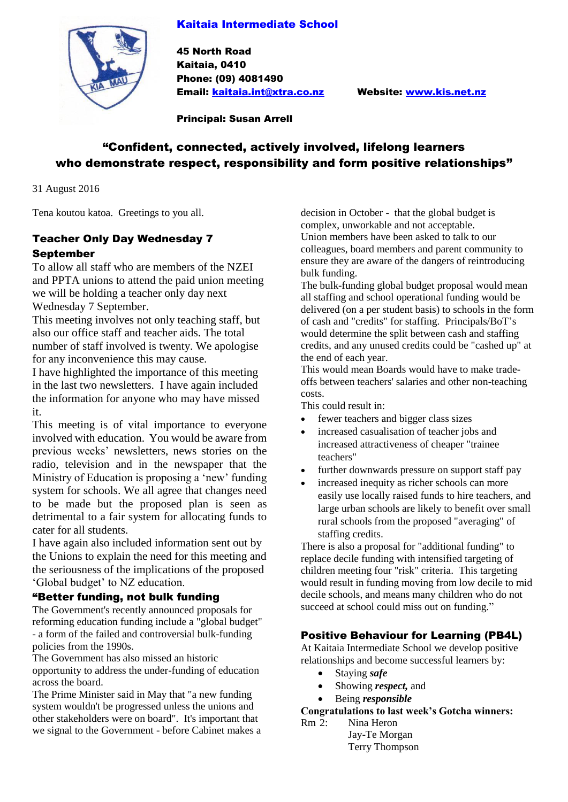#### Kaitaia Intermediate School



45 North Road Kaitaia, 0410 Phone: (09) 4081490 Email: [kaitaia.int@xtra.co.nz](mailto:kaitaia.int@xtra.co.nz) Website: [www.kis.net.nz](http://www.kis.net.nz/)

Principal: Susan Arrell

## "Confident, connected, actively involved, lifelong learners who demonstrate respect, responsibility and form positive relationships"

31 August 2016

Tena koutou katoa. Greetings to you all.

#### Teacher Only Day Wednesday 7 September

To allow all staff who are members of the NZEI and PPTA unions to attend the paid union meeting we will be holding a teacher only day next Wednesday 7 September.

This meeting involves not only teaching staff, but also our office staff and teacher aids. The total number of staff involved is twenty. We apologise for any inconvenience this may cause.

I have highlighted the importance of this meeting in the last two newsletters. I have again included the information for anyone who may have missed it.

This meeting is of vital importance to everyone involved with education. You would be aware from previous weeks' newsletters, news stories on the radio, television and in the newspaper that the Ministry of Education is proposing a 'new' funding system for schools. We all agree that changes need to be made but the proposed plan is seen as detrimental to a fair system for allocating funds to cater for all students.

I have again also included information sent out by the Unions to explain the need for this meeting and the seriousness of the implications of the proposed 'Global budget' to NZ education.

#### "Better funding, not bulk funding

The Government's recently announced proposals for reforming education funding include a "global budget" - a form of the failed and controversial bulk-funding policies from the 1990s.

The Government has also missed an historic opportunity to address the under-funding of education across the board.

The Prime Minister said in May that "a new funding system wouldn't be progressed unless the unions and other stakeholders were on board". It's important that we signal to the Government - before Cabinet makes a decision in October - that the global budget is complex, unworkable and not acceptable. Union members have been asked to talk to our colleagues, board members and parent community to ensure they are aware of the dangers of reintroducing bulk funding.

The bulk-funding global budget proposal would mean all staffing and school operational funding would be delivered (on a per student basis) to schools in the form of cash and "credits" for staffing. Principals/BoT's would determine the split between cash and staffing credits, and any unused credits could be "cashed up" at the end of each year.

This would mean Boards would have to make tradeoffs between teachers' salaries and other non-teaching costs.

This could result in:

- fewer teachers and bigger class sizes
- increased casualisation of teacher jobs and increased attractiveness of cheaper "trainee teachers"
- further downwards pressure on support staff pay
- increased inequity as richer schools can more easily use locally raised funds to hire teachers, and large urban schools are likely to benefit over small rural schools from the proposed "averaging" of staffing credits.

There is also a proposal for "additional funding" to replace decile funding with intensified targeting of children meeting four "risk" criteria. This targeting would result in funding moving from low decile to mid decile schools, and means many children who do not succeed at school could miss out on funding."

#### Positive Behaviour for Learning (PB4L)

At Kaitaia Intermediate School we develop positive relationships and become successful learners by:

- Staying *safe*
- Showing *respect,* and
- Being *responsible*

#### **Congratulations to last week's Gotcha winners:**

Rm 2: Nina Heron Jay-Te Morgan Terry Thompson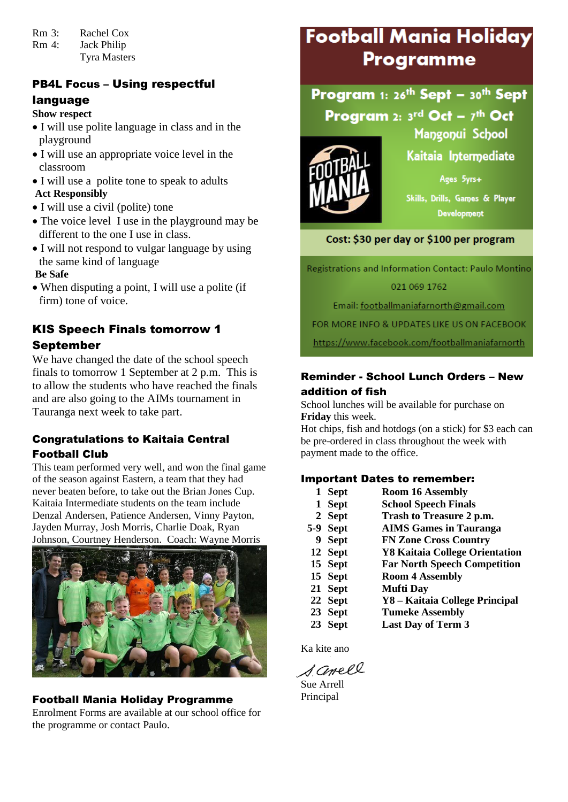- Rm 3: Rachel Cox
- Rm 4: Jack Philip Tyra Masters

## PB4L Focus – Using respectful

## language

**Show respect**

- I will use polite language in class and in the playground
- I will use an appropriate voice level in the classroom
- I will use a polite tone to speak to adults **Act Responsibly**
- I will use a civil (polite) tone
- The voice level I use in the playground may be different to the one I use in class.
- I will not respond to vulgar language by using the same kind of language

**Be Safe**

 When disputing a point, I will use a polite (if firm) tone of voice.

## KIS Speech Finals tomorrow 1 September

We have changed the date of the school speech finals to tomorrow 1 September at 2 p.m. This is to allow the students who have reached the finals and are also going to the AIMs tournament in Tauranga next week to take part.

#### Congratulations to Kaitaia Central Football Club

This team performed very well, and won the final game of the season against Eastern, a team that they had never beaten before, to take out the Brian Jones Cup. Kaitaia Intermediate students on the team include Denzal Andersen, Patience Andersen, Vinny Payton, Jayden Murray, Josh Morris, Charlie Doak, Ryan Johnson, Courtney Henderson. Coach: Wayne Morris



## Football Mania Holiday Programme

Enrolment Forms are available at our school office for the programme or contact Paulo.

# Football Mania Holiday **Programme**

## Program 1: 26<sup>th</sup> Sept - 30<sup>th</sup> Sept Program 2:  $3^{\text{rd}}$  Oct -  $7^{\text{th}}$  Oct



Kaitaia Intermediate

Mangonui School

Ages 5yrs+

Skills, Drills, Games & Player Development

## Cost: \$30 per day or \$100 per program

Registrations and Information Contact: Paulo Montino 021 069 1762

Email: footballmaniafarnorth@gmail.com

FOR MORE INFO & UPDATES LIKE US ON FACEBOOK

https://www.facebook.com/footballmaniafarnorth

### Reminder - School Lunch Orders – New addition of fish

School lunches will be available for purchase on **Friday** this week.

Hot chips, fish and hotdogs (on a stick) for \$3 each can be pre-ordered in class throughout the week with payment made to the office.

#### Important Dates to remember:

| 1 Sept | <b>Room 16 Assembly</b>     |
|--------|-----------------------------|
| 1 Sept | <b>School Speech Finals</b> |
| 2 Sept | Trash to Treasure 2 p.m.    |

- **5-9 Sept AIMS Games in Tauranga 9 Sept FN Zone Cross Country 12 Sept Y8 Kaitaia College Orientation 15 Sept Far North Speech Competition 15 Sept Room 4 Assembly 21 Sept Mufti Day 22 Sept Y8 – Kaitaia College Principal 23 Sept Tumeke Assembly**
- **23 Sept Last Day of Term 3**

Ka kite ano

samell

Sue Arrell Principal